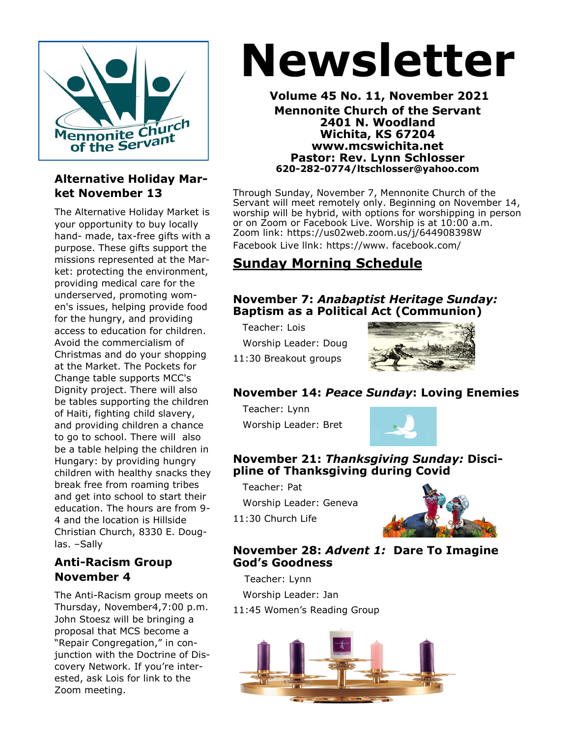

#### **Alternative Holiday Market November 13**

The Alternative Holiday Market is your opportunity to buy locally hand- made, tax-free gifts with a purpose. These gifts support the missions represented at the Market: protecting the environment, providing medical care for the underserved, promoting women's issues, helping provide food for the hungry, and providing access to education for children. Avoid the commercialism of Christmas and do your shopping at the Market. The Pockets for Change table supports MCC's Dignity project. There will also be tables supporting the children of Haiti, fighting child slavery, and providing children a chance to go to school. There will also be a table helping the children in Hungary: by providing hungry children with healthy snacks they break free from roaming tribes and get into school to start their education. The hours are from 9- 4 and the location is Hillside Christian Church, 8330 E. Douglas. –Sally

#### **Anti-Racism Group November 4**

The Anti-Racism group meets on Thursday, November4,7:00 p.m. John Stoesz will be bringing a proposal that MCS become a "Repair Congregation," in conjunction with the Doctrine of Discovery Network. If you're interested, ask Lois for link to the Zoom meeting.

# **Newsletter**

**Volume 45 No. 11, November 2021 Mennonite Church of the Servant 2401 N. Woodland Wichita, KS 67204 www.mcswichita.net Pastor: Rev. Lynn Schlosser 620-282-0774/ltschlosser@yahoo.com**

Through Sunday, November 7, Mennonite Church of the Servant will meet remotely only. Beginning on November 14, worship will be hybrid, with options for worshipping in person or on Zoom or Facebook Live. Worship is at 10:00 a.m. Zoom link: https://us02web.zoom.us/j/644908398W Facebook Live llnk: https://www. facebook.com/

**Sunday Morning Schedule**

#### **November 7:** *Anabaptist Heritage Sunday:*  **Baptism as a Political Act (Communion)**

Teacher: Lois Worship Leader: Doug

11:30 Breakout groups



#### **November 14:** *Peace Sunday***: Loving Enemies**

 Teacher: Lynn Worship Leader: Bret



#### **November 21:** *Thanksgiving Sunday:* **Discipline of Thanksgiving during Covid**

Teacher: Pat

11:30 Church Life

Worship Leader: Geneva



#### **November 28:** *Advent 1:* **Dare To Imagine God's Goodness**

Teacher: Lynn Worship Leader: Jan 11:45 Women's Reading Group

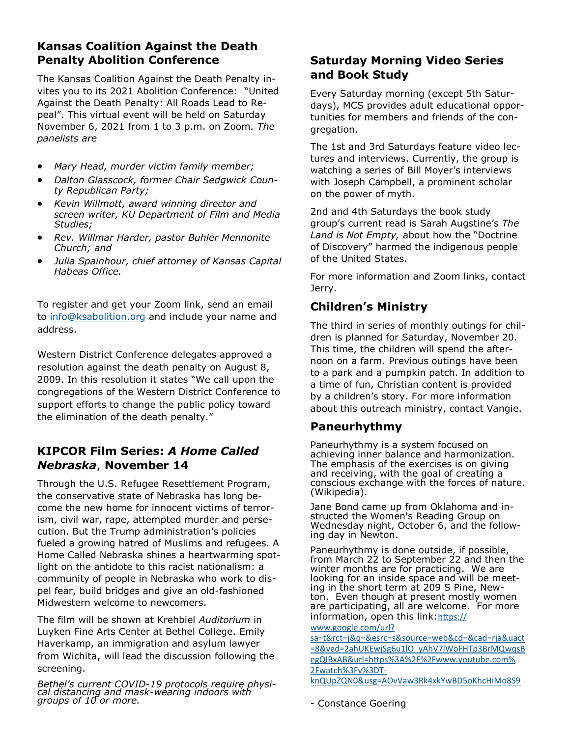#### **Kansas Coalition Against the Death Penalty Abolition Conference**

The Kansas Coalition Against the Death Penalty invites you to its 2021 Abolition Conference: "United Against the Death Penalty: All Roads Lead to Repeal". This virtual event will be held on Saturday November 6, 2021 from 1 to 3 p.m. on Zoom*. The panelists are*

- *Mary Head, murder victim family member;*
- *Dalton Glasscock, former Chair Sedgwick County Republican Party;*
- *Kevin Willmott, award winning director and screen writer, KU Department of Film and Media Studies;*
- *Rev. Willmar Harder, pastor Buhler Mennonite Church; and*
- *Julia Spainhour, chief attorney of Kansas Capital Habeas Office.*

To register and get your Zoom link, send an email to [info@ksabolition.org](mailto:info@ksabolition.org) and include your name and address.

Western District Conference delegates approved a resolution against the death penalty on August 8, 2009. In this resolution it states "We call upon the congregations of the Western District Conference to support efforts to change the public policy toward the elimination of the death penalty."

#### **KIPCOR Film Series:** *A Home Called Nebraska*, **November 14**

Through the U.S. Refugee Resettlement Program, the conservative state of Nebraska has long become the new home for innocent victims of terrorism, civil war, rape, attempted murder and persecution. But the Trump administration's policies fueled a growing hatred of Muslims and refugees. A Home Called Nebraska shines a heartwarming spotlight on the antidote to this racist nationalism: a community of people in Nebraska who work to dispel fear, build bridges and give an old-fashioned Midwestern welcome to newcomers.

The film will be shown at Krehbiel *Auditorium* in Luyken Fine Arts Center at Bethel College. Emily Haverkamp, an immigration and asylum lawyer from Wichita, will lead the discussion following the screening.

*Bethel's current COVID-19 protocols require physical distancing and mask-wearing indoors with groups of 10 or more.* 

#### **Saturday Morning Video Series and Book Study**

Every Saturday morning (except 5th Saturdays), MCS provides adult educational opportunities for members and friends of the congregation.

The 1st and 3rd Saturdays feature video lectures and interviews. Currently, the group is watching a series of Bill Moyer's interviews with Joseph Campbell, a prominent scholar on the power of myth.

2nd and 4th Saturdays the book study group's current read is Sarah Augstine's *The Land is Not Empty,* about how the "Doctrine of Discovery" harmed the indigenous people of the United States.

For more information and Zoom links, contact Jerry.

#### **Children's Ministry**

The third in series of monthly outings for children is planned for Saturday, November 20. This time, the children will spend the afternoon on a farm. Previous outings have been to a park and a pumpkin patch. In addition to a time of fun, Christian content is provided by a children's story. For more information about this outreach ministry, contact Vangie.

#### **Paneurhythmy**

Paneurhythmy is a system focused on achieving inner balance and harmonization. The emphasis of the exercises is on giving and receiving, with the goal of creating a conscious exchange with the forces of nature. (Wikipedia).

Jane Bond came up from Oklahoma and instructed the Women's Reading Group on Wednesday night, October 6, and the following day in Newton.

Paneurhythmy is done outside, if possible, from March 22 to September 22 and then the winter months are for practicing. We are looking for an inside space and will be meeting in the short term at 209 S Pine, Newton. Even though at present mostly women are participating, all are welcome. For more information, open this link:[https://](https://www.google.com/url?sa=t&rct=j&q=&esrc=s&source=web&cd=&cad=rja&uact=8&ved=2ahUKEwjSg6u1lO_yAhV7lWoFHTp3BrMQwqsBegQIBxAB&url=https%3A%2F%2Fwww.youtube.com%2Fwatch%3Fv%3DT-knQUpZQN0&usg=AOvVaw3Rk4xkYwBD5oKhcHiMo8S9)

[www.google.com/url?](https://www.google.com/url?sa=t&rct=j&q=&esrc=s&source=web&cd=&cad=rja&uact=8&ved=2ahUKEwjSg6u1lO_yAhV7lWoFHTp3BrMQwqsBegQIBxAB&url=https%3A%2F%2Fwww.youtube.com%2Fwatch%3Fv%3DT-knQUpZQN0&usg=AOvVaw3Rk4xkYwBD5oKhcHiMo8S9)

[sa=t&rct=j&q=&esrc=s&source=web&cd=&cad=rja&uact](https://www.google.com/url?sa=t&rct=j&q=&esrc=s&source=web&cd=&cad=rja&uact=8&ved=2ahUKEwjSg6u1lO_yAhV7lWoFHTp3BrMQwqsBegQIBxAB&url=https%3A%2F%2Fwww.youtube.com%2Fwatch%3Fv%3DT-knQUpZQN0&usg=AOvVaw3Rk4xkYwBD5oKhcHiMo8S9) [=8&ved=2ahUKEwjSg6u1lO\\_yAhV7lWoFHTp3BrMQwqsB](https://www.google.com/url?sa=t&rct=j&q=&esrc=s&source=web&cd=&cad=rja&uact=8&ved=2ahUKEwjSg6u1lO_yAhV7lWoFHTp3BrMQwqsBegQIBxAB&url=https%3A%2F%2Fwww.youtube.com%2Fwatch%3Fv%3DT-knQUpZQN0&usg=AOvVaw3Rk4xkYwBD5oKhcHiMo8S9) [egQIBxAB&url=https%3A%2F%2Fwww.youtube.com%](https://www.google.com/url?sa=t&rct=j&q=&esrc=s&source=web&cd=&cad=rja&uact=8&ved=2ahUKEwjSg6u1lO_yAhV7lWoFHTp3BrMQwqsBegQIBxAB&url=https%3A%2F%2Fwww.youtube.com%2Fwatch%3Fv%3DT-knQUpZQN0&usg=AOvVaw3Rk4xkYwBD5oKhcHiMo8S9) [2Fwatch%3Fv%3DT](https://www.google.com/url?sa=t&rct=j&q=&esrc=s&source=web&cd=&cad=rja&uact=8&ved=2ahUKEwjSg6u1lO_yAhV7lWoFHTp3BrMQwqsBegQIBxAB&url=https%3A%2F%2Fwww.youtube.com%2Fwatch%3Fv%3DT-knQUpZQN0&usg=AOvVaw3Rk4xkYwBD5oKhcHiMo8S9)-

[knQUpZQN0&usg=AOvVaw3Rk4xkYwBD5oKhcHiMo8S9](https://www.google.com/url?sa=t&rct=j&q=&esrc=s&source=web&cd=&cad=rja&uact=8&ved=2ahUKEwjSg6u1lO_yAhV7lWoFHTp3BrMQwqsBegQIBxAB&url=https%3A%2F%2Fwww.youtube.com%2Fwatch%3Fv%3DT-knQUpZQN0&usg=AOvVaw3Rk4xkYwBD5oKhcHiMo8S9)

- Constance Goering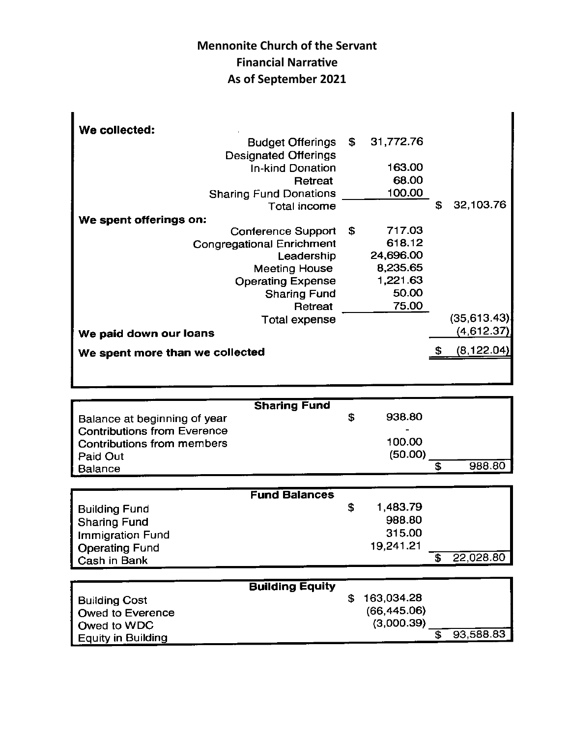### **Mennonite Church of the Servant Financial Narrative As of September 2021**

| We collected:                    |             |           |                 |
|----------------------------------|-------------|-----------|-----------------|
| Budget Offerings \$              |             | 31,772.76 |                 |
| <b>Designated Offerings</b>      |             |           |                 |
| <b>In-kind Donation</b>          |             | 163.00    |                 |
| Retreat                          |             | 68.00     |                 |
| <b>Sharing Fund Donations</b>    |             | 100.00    |                 |
| Total income                     |             |           | \$<br>32,103.76 |
| We spent offerings on:           |             |           |                 |
| <b>Conference Support</b>        | - \$        | 717.03    |                 |
| <b>Congregational Enrichment</b> |             | 618.12    |                 |
| Leadership                       |             | 24,696.00 |                 |
| <b>Meeting House</b>             |             | 8,235.65  |                 |
| <b>Operating Expense</b>         |             | 1,221.63  |                 |
| <b>Sharing Fund</b>              |             | 50.00     |                 |
| Retreat                          |             | 75.00     |                 |
| Total expense                    |             |           | (35,613.43)     |
| We paid down our loans           |             |           | (4,612.37)      |
| We spent more than we collected  | (8, 122.04) |           |                 |
|                                  |             |           |                 |
|                                  |             |           |                 |

|                              | <b>Sharing Fund</b> |         |        |
|------------------------------|---------------------|---------|--------|
| Balance at beginning of year |                     | 938.80  |        |
| Contributions from Everence  |                     |         |        |
| Contributions from members   |                     | 100.00  |        |
| Paid Out                     |                     | (50.00) |        |
| Balance                      |                     |         | 988.80 |

|                         | <b>Fund Balances</b> |           |           |
|-------------------------|----------------------|-----------|-----------|
| <b>Building Fund</b>    |                      | 1,483.79  |           |
|                         |                      | 988.80    |           |
| <b>Sharing Fund</b>     |                      |           |           |
| <b>Immigration Fund</b> |                      | 315.00    |           |
| <b>Operating Fund</b>   |                      | 19,241.21 |           |
| Cash in Bank            |                      |           | 22,028.80 |

|                      | <b>Building Equity</b> |              |           |
|----------------------|------------------------|--------------|-----------|
| <b>Building Cost</b> |                        | 163,034.28   |           |
| Owed to Everence     |                        | (66, 445.06) |           |
| Owed to WDC          |                        | (3,000.39)   |           |
| Equity in Building   |                        |              | 93,588.83 |